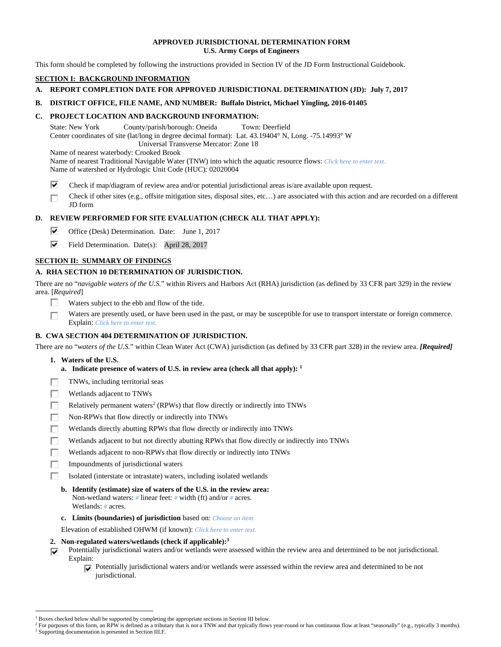## **APPROVED JURISDICTIONAL DETERMINATION FORM U.S. Army Corps of Engineers**

This form should be completed by following the instructions provided in Section IV of the JD Form Instructional Guidebook.

# **SECTION I: BACKGROUND INFORMATION**

# **A. REPORT COMPLETION DATE FOR APPROVED JURISDICTIONAL DETERMINATION (JD): July 7, 2017**

## **B. DISTRICT OFFICE, FILE NAME, AND NUMBER: Buffalo District, Michael Yingling, 2016-01405**

## **C. PROJECT LOCATION AND BACKGROUND INFORMATION:**

State: New York County/parish/borough: Oneida Town: Deerfield Center coordinates of site (lat/long in degree decimal format): Lat. 43.19404° N, Long. -75.14993° W Universal Transverse Mercator: Zone 18

Name of nearest waterbody: Crooked Brook

Name of nearest Traditional Navigable Water (TNW) into which the aquatic resource flows: *Click here to enter text.*

Name of watershed or Hydrologic Unit Code (HUC): 02020004

⊽ Check if map/diagram of review area and/or potential jurisdictional areas is/are available upon request.

Check if other sites (e.g., offsite mitigation sites, disposal sites, etc…) are associated with this action and are recorded on a different П JD form

# **D. REVIEW PERFORMED FOR SITE EVALUATION (CHECK ALL THAT APPLY):**

- ⊽ Office (Desk) Determination. Date: June 1, 2017
- ⊽ Field Determination. Date(s): April 28, 2017

## **SECTION II: SUMMARY OF FINDINGS**

# **A. RHA SECTION 10 DETERMINATION OF JURISDICTION.**

There are no "*navigable waters of the U.S.*" within Rivers and Harbors Act (RHA) jurisdiction (as defined by 33 CFR part 329) in the review area. [*Required*]

- П. Waters subject to the ebb and flow of the tide.
- Waters are presently used, or have been used in the past, or may be susceptible for use to transport interstate or foreign commerce. г Explain: *Click here to enter text.*

## **B. CWA SECTION 404 DETERMINATION OF JURISDICTION.**

There are no "*waters of the U.S.*" within Clean Water Act (CWA) jurisdiction (as defined by 33 CFR part 328) in the review area. *[Required]*

- **1. Waters of the U.S.** 
	- **a. Indicate presence of waters of U.S. in review area (check all that apply): 1**
- П TNWs, including territorial seas
- П. Wetlands adjacent to TNWs
- П Relatively permanent waters<sup>2</sup> (RPWs) that flow directly or indirectly into TNWs
- П. Non-RPWs that flow directly or indirectly into TNWs
- Wetlands directly abutting RPWs that flow directly or indirectly into TNWs п
- Wetlands adjacent to but not directly abutting RPWs that flow directly or indirectly into TNWs г
- п Wetlands adjacent to non-RPWs that flow directly or indirectly into TNWs
- п Impoundments of jurisdictional waters
- Isolated (interstate or intrastate) waters, including isolated wetlands п
	- **b. Identify (estimate) size of waters of the U.S. in the review area:**  Non-wetland waters: *#* linear feet: *#* width (ft) and/or *#* acres. Wetlands: *#* acres.
	- **c. Limits (boundaries) of jurisdiction** based on: *Choose an item.*

Elevation of established OHWM (if known): *Click here to enter text.*

- **2. Non-regulated waters/wetlands (check if applicable):3**
- Potentially jurisdictional waters and/or wetlands were assessed within the review area and determined to be not jurisdictional. ⊽ Explain:
	- $\nabla$  Potentially jurisdictional waters and/or wetlands were assessed within the review area and determined to be not jurisdictional.

 $\overline{a}$ <sup>1</sup> Boxes checked below shall be supported by completing the appropriate sections in Section III below.<br><sup>2</sup> For purposes of this form, an PPW is defined as a tributary that is not a TNW and that typically flows

For purposes of this form, an RPW is defined as a tributary that is not a TNW and that typically flows year-round or has continuous flow at least "seasonally" (e.g., typically 3 months). <sup>3</sup> Supporting documentation is presented in Section III.F.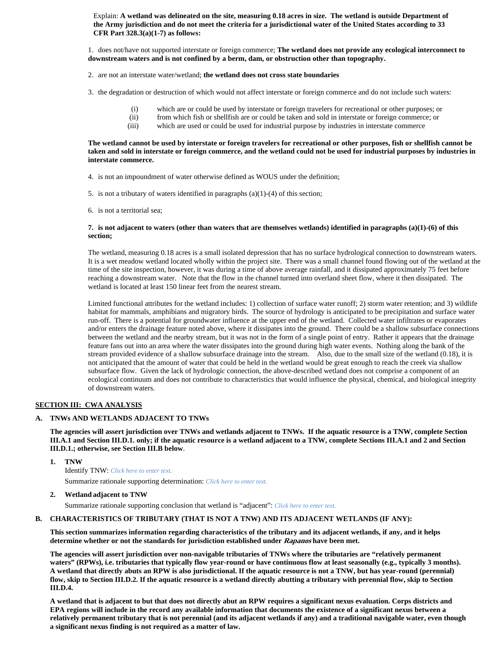Explain: **A wetland was delineated on the site, measuring 0.18 acres in size. The wetland is outside Department of the Army jurisdiction and do not meet the criteria for a jurisdictional water of the United States according to 33 CFR Part 328.3(a)(1-7) as follows:** 

1. does not/have not supported interstate or foreign commerce; **The wetland does not provide any ecological interconnect to downstream waters and is not confined by a berm, dam, or obstruction other than topography.** 

2. are not an interstate water/wetland; **the wetland does not cross state boundaries**

3. the degradation or destruction of which would not affect interstate or foreign commerce and do not include such waters:

- (i) which are or could be used by interstate or foreign travelers for recreational or other purposes; or
- (ii) from which fish or shellfish are or could be taken and sold in interstate or foreign commerce; or (iii) which are used or could be used for industrial purpose by industries in interstate commerce
- which are used or could be used for industrial purpose by industries in interstate commerce

## **The wetland cannot be used by interstate or foreign travelers for recreational or other purposes, fish or shellfish cannot be taken and sold in interstate or foreign commerce, and the wetland could not be used for industrial purposes by industries in interstate commerce.**

4. is not an impoundment of water otherwise defined as WOUS under the definition;

5. is not a tributary of waters identified in paragraphs  $(a)(1)-(4)$  of this section;

6. is not a territorial sea;

#### **7. is not adjacent to waters (other than waters that are themselves wetlands) identified in paragraphs (a)(1)-(6) of this section;**

The wetland, measuring 0.18 acres is a small isolated depression that has no surface hydrological connection to downstream waters. It is a wet meadow wetland located wholly within the project site. There was a small channel found flowing out of the wetland at the time of the site inspection, however, it was during a time of above average rainfall, and it dissipated approximately 75 feet before reaching a downstream water. Note that the flow in the channel turned into overland sheet flow, where it then dissipated. The wetland is located at least 150 linear feet from the nearest stream.

Limited functional attributes for the wetland includes: 1) collection of surface water runoff; 2) storm water retention; and 3) wildlife habitat for mammals, amphibians and migratory birds. The source of hydrology is anticipated to be precipitation and surface water run-off. There is a potential for groundwater influence at the upper end of the wetland. Collected water infiltrates or evaporates and/or enters the drainage feature noted above, where it dissipates into the ground. There could be a shallow subsurface connections between the wetland and the nearby stream, but it was not in the form of a single point of entry. Rather it appears that the drainage feature fans out into an area where the water dissipates into the ground during high water events. Nothing along the bank of the stream provided evidence of a shallow subsurface drainage into the stream. Also, due to the small size of the wetland (0.18), it is not anticipated that the amount of water that could be held in the wetland would be great enough to reach the creek via shallow subsurface flow. Given the lack of hydrologic connection, the above-described wetland does not comprise a component of an ecological continuum and does not contribute to characteristics that would influence the physical, chemical, and biological integrity of downstream waters.

#### **SECTION III: CWA ANALYSIS**

## **A. TNWs AND WETLANDS ADJACENT TO TNWs**

**The agencies will assert jurisdiction over TNWs and wetlands adjacent to TNWs. If the aquatic resource is a TNW, complete Section III.A.1 and Section III.D.1. only; if the aquatic resource is a wetland adjacent to a TNW, complete Sections III.A.1 and 2 and Section III.D.1.; otherwise, see Section III.B below**.

 **1. TNW** 

 Identify TNW: *Click here to enter text.* Summarize rationale supporting determination: *Click here to enter text.*

#### **2. Wetland adjacent to TNW**

Summarize rationale supporting conclusion that wetland is "adjacent": *Click here to enter text.*

#### **B. CHARACTERISTICS OF TRIBUTARY (THAT IS NOT A TNW) AND ITS ADJACENT WETLANDS (IF ANY):**

**This section summarizes information regarding characteristics of the tributary and its adjacent wetlands, if any, and it helps determine whether or not the standards for jurisdiction established under Rapanos have been met.** 

**The agencies will assert jurisdiction over non-navigable tributaries of TNWs where the tributaries are "relatively permanent**  waters" (RPWs), i.e. tributaries that typically flow year-round or have continuous flow at least seasonally (e.g., typically 3 months). **A wetland that directly abuts an RPW is also jurisdictional. If the aquatic resource is not a TNW, but has year-round (perennial) flow, skip to Section III.D.2. If the aquatic resource is a wetland directly abutting a tributary with perennial flow, skip to Section III.D.4.** 

**A wetland that is adjacent to but that does not directly abut an RPW requires a significant nexus evaluation. Corps districts and EPA regions will include in the record any available information that documents the existence of a significant nexus between a relatively permanent tributary that is not perennial (and its adjacent wetlands if any) and a traditional navigable water, even though a significant nexus finding is not required as a matter of law.**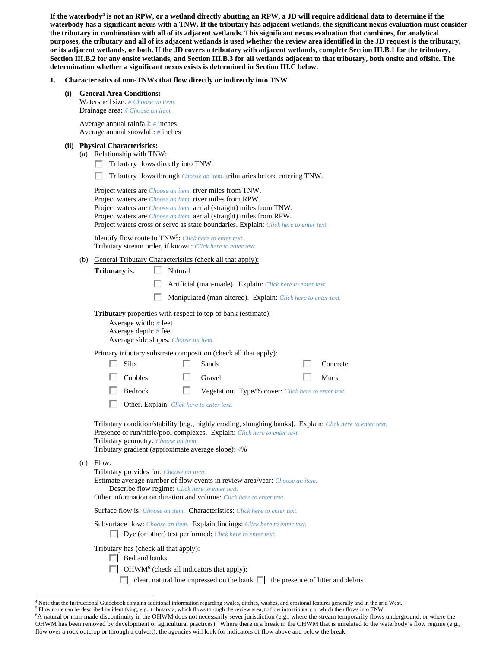If the waterbody<sup>4</sup> is not an RPW, or a wetland directly abutting an RPW, a JD will require additional data to determine if the **waterbody has a significant nexus with a TNW. If the tributary has adjacent wetlands, the significant nexus evaluation must consider the tributary in combination with all of its adjacent wetlands. This significant nexus evaluation that combines, for analytical purposes, the tributary and all of its adjacent wetlands is used whether the review area identified in the JD request is the tributary, or its adjacent wetlands, or both. If the JD covers a tributary with adjacent wetlands, complete Section III.B.1 for the tributary, Section III.B.2 for any onsite wetlands, and Section III.B.3 for all wetlands adjacent to that tributary, both onsite and offsite. The determination whether a significant nexus exists is determined in Section III.C below.** 

- **1. Characteristics of non-TNWs that flow directly or indirectly into TNW** 
	- **(i) General Area Conditions:**  Watershed size: *# Choose an item.* Drainage area: *# Choose an item.*

 Average annual rainfall: *#* inches Average annual snowfall: *#* inches

#### **(ii) Physical Characteristics:**

- (a) Relationship with TNW:
	- $\Box$  Tributary flows directly into TNW.
	- Tributary flows through *Choose an item.* tributaries before entering TNW.

 Project waters are *Choose an item.* river miles from TNW. Project waters are *Choose an item.* river miles from RPW. Project waters are *Choose an item.* aerial (straight) miles from TNW. Project waters are *Choose an item.* aerial (straight) miles from RPW. Project waters cross or serve as state boundaries. Explain: *Click here to enter text.*

Identify flow route to TNW5: *Click here to enter text.* Tributary stream order, if known: *Click here to enter text.*

(b) General Tributary Characteristics (check all that apply):

| <b>Tributary</b> is: |  | Natural |
|----------------------|--|---------|
|----------------------|--|---------|

- Artificial (man-made). Explain: *Click here to enter text.*
	- Manipulated (man-altered). Explain: *Click here to enter text.*

**Tributary** properties with respect to top of bank (estimate):

 Average width: *#* feet Average depth: *#* feet Average side slopes: *Choose an item.*

Primary tributary substrate composition (check all that apply):

| $\Box$ Silts   | $\Box$ Sands                                        | $\Box$ Concrete |
|----------------|-----------------------------------------------------|-----------------|
| $\Box$ Cobbles | $\Box$ Gravel                                       | $\Box$ Muck     |
| $\Box$ Bedrock | Vegetation. Type/% cover: Click here to enter text. |                 |

Other. Explain: *Click here to enter text.*

 Tributary condition/stability [e.g., highly eroding, sloughing banks]. Explain: *Click here to enter text.* Presence of run/riffle/pool complexes. Explain: *Click here to enter text.* Tributary geometry: *Choose an item.* Tributary gradient (approximate average slope): *#*%

 $(c)$  Flow:

 $\overline{a}$ 

Tributary provides for: *Choose an item.*

 Estimate average number of flow events in review area/year: *Choose an item.* Describe flow regime: *Click here to enter text.*

Other information on duration and volume: *Click here to enter text.*

Surface flow is: *Choose an item.* Characteristics: *Click here to enter text.*

 Subsurface flow: *Choose an item.* Explain findings: *Click here to enter text.* Dye (or other) test performed: *Click here to enter text.*

Tributary has (check all that apply):

- Bed and banks
	- OHWM<sup>6</sup> (check all indicators that apply):
	- clear, natural line impressed on the bank  $\Box$  the presence of litter and debris

<sup>4</sup> Note that the Instructional Guidebook contains additional information regarding swales, ditches, washes, and erosional features generally and in the arid West.

<sup>&</sup>lt;sup>5</sup> Flow route can be described by identifying, e.g., tributary a, which flows through the review area, to flow into tributary b, which then flows into TNW.  $\frac{6}{1}$  a particular into the continuity in the **OHWM** does no

<sup>&</sup>lt;sup>6</sup>A natural or man-made discontinuity in the OHWM does not necessarily sever jurisdiction (e.g., where the stream temporarily flows underground, or where the OHWM has been removed by development or agricultural practices). Where there is a break in the OHWM that is unrelated to the waterbody's flow regime (e.g., flow over a rock outcrop or through a culvert), the agencies will look for indicators of flow above and below the break.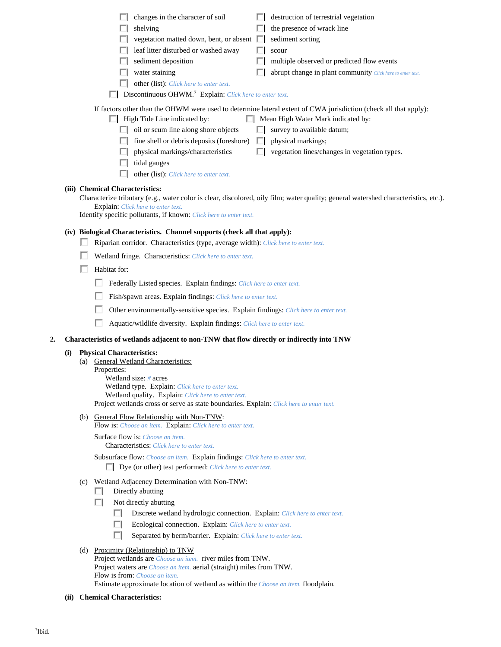| destruction of terrestrial vegetation<br>changes in the character of soil<br>the presence of wrack line<br>shelving<br>vegetation matted down, bent, or absent  <br>sediment sorting<br>leaf litter disturbed or washed away<br>scour<br>sediment deposition<br>multiple observed or predicted flow events<br>water staining<br>abrupt change in plant community Click here to enter text.<br>other (list): Click here to enter text.<br>Discontinuous OHWM. <sup>7</sup> Explain: Click here to enter text.                                                                                                                                        |
|-----------------------------------------------------------------------------------------------------------------------------------------------------------------------------------------------------------------------------------------------------------------------------------------------------------------------------------------------------------------------------------------------------------------------------------------------------------------------------------------------------------------------------------------------------------------------------------------------------------------------------------------------------|
| If factors other than the OHWM were used to determine lateral extent of CWA jurisdiction (check all that apply):<br>$\Box$ High Tide Line indicated by:<br>Mean High Water Mark indicated by:<br>$\Box$ oil or scum line along shore objects<br>survey to available datum;<br>fine shell or debris deposits (foreshore)<br>physical markings;<br>ш<br>physical markings/characteristics<br>vegetation lines/changes in vegetation types.<br>tidal gauges<br>other (list): Click here to enter text.                                                                                                                                                 |
| (iii) Chemical Characteristics:<br>Characterize tributary (e.g., water color is clear, discolored, oily film; water quality; general watershed characteristics, etc.).<br><b>Explain:</b> Click here to enter text.<br>Identify specific pollutants, if known: Click here to enter text.                                                                                                                                                                                                                                                                                                                                                            |
| (iv) Biological Characteristics. Channel supports (check all that apply):<br>Riparian corridor. Characteristics (type, average width): Click here to enter text.<br>Wetland fringe. Characteristics: Click here to enter text.<br>Habitat for:<br>п<br>Federally Listed species. Explain findings: Click here to enter text.<br>Fish/spawn areas. Explain findings: Click here to enter text.<br>Other environmentally-sensitive species. Explain findings: Click here to enter text.<br>Aquatic/wildlife diversity. Explain findings: Click here to enter text.                                                                                    |
|                                                                                                                                                                                                                                                                                                                                                                                                                                                                                                                                                                                                                                                     |
| Characteristics of wetlands adjacent to non-TNW that flow directly or indirectly into TNW<br>2.<br><b>Physical Characteristics:</b><br>(i)<br><b>General Wetland Characteristics:</b><br>(a)<br>Properties:<br>Wetland size: $#$ acres<br>Wetland type. Explain: Click here to enter text.<br>Wetland quality. Explain: Click here to enter text.<br>Project wetlands cross or serve as state boundaries. Explain: Click here to enter text.<br>(b) General Flow Relationship with Non-TNW:<br>Flow is: Choose an item. Explain: Click here to enter text.<br>Surface flow is: Choose an item.<br><b>Characteristics:</b> Click here to enter text. |
| Subsurface flow: Choose an item. Explain findings: Click here to enter text.<br>$\Box$ Dye (or other) test performed: <i>Click here to enter text</i> .<br>(c) Wetland Adjacency Determination with Non-TNW:                                                                                                                                                                                                                                                                                                                                                                                                                                        |
| Directly abutting<br><b>I</b><br>Not directly abutting<br>L.<br>Discrete wetland hydrologic connection. Explain: Click here to enter text.<br>ш<br>Ecological connection. Explain: Click here to enter text.<br>ш<br>п<br>Separated by berm/barrier. Explain: Click here to enter text.                                                                                                                                                                                                                                                                                                                                                             |
| (d) Proximity (Relationship) to TNW<br>Project wetlands are <i>Choose an item.</i> river miles from TNW.<br>Project waters are <i>Choose an item.</i> aerial (straight) miles from TNW.<br>Flow is from: <i>Choose an item.</i><br>Estimate approximate location of wetland as within the Choose an item. floodplain.                                                                                                                                                                                                                                                                                                                               |

 **(ii) Chemical Characteristics:**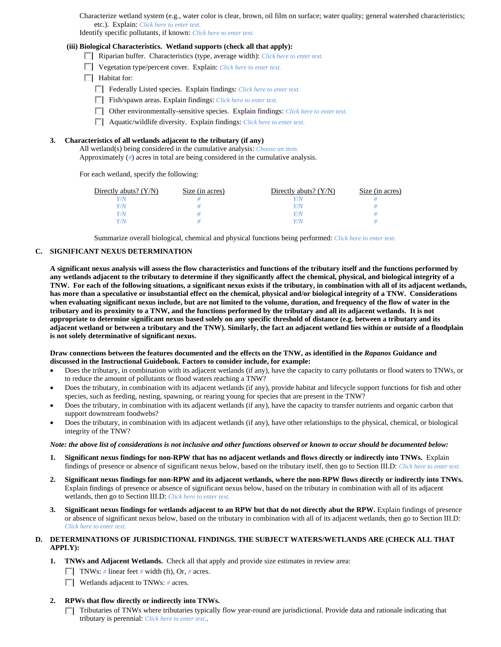Characterize wetland system (e.g., water color is clear, brown, oil film on surface; water quality; general watershed characteristics; etc.). Explain: *Click here to enter text.*

Identify specific pollutants, if known: *Click here to enter text.*

#### **(iii) Biological Characteristics. Wetland supports (check all that apply):**

- Riparian buffer. Characteristics (type, average width): *Click here to enter text.*
- Vegetation type/percent cover. Explain: *Click here to enter text.*
- $\Box$  Habitat for:
	- Federally Listed species. Explain findings: *Click here to enter text*.
	- Fish/spawn areas. Explain findings: *Click here to enter text.*
	- Other environmentally-sensitive species. Explain findings: *Click here to enter text.*
	- Aquatic/wildlife diversity. Explain findings: *Click here to enter text.*

## **3. Characteristics of all wetlands adjacent to the tributary (if any)**

 All wetland(s) being considered in the cumulative analysis: *Choose an item.* Approximately (*#*) acres in total are being considered in the cumulative analysis.

For each wetland, specify the following:

| Directly abuts? $(Y/N)$ | Size (in acres) | Directly abuts? $(Y/N)$ | Size (in acres) |
|-------------------------|-----------------|-------------------------|-----------------|
| $^{\prime}$ /N          |                 |                         |                 |
| Y/N                     |                 | Y / N                   |                 |
| Y/N                     |                 | Y/N                     |                 |
| Y/N                     |                 | Y / N                   |                 |

Summarize overall biological, chemical and physical functions being performed: *Click here to enter text.*

## **C. SIGNIFICANT NEXUS DETERMINATION**

**A significant nexus analysis will assess the flow characteristics and functions of the tributary itself and the functions performed by any wetlands adjacent to the tributary to determine if they significantly affect the chemical, physical, and biological integrity of a TNW. For each of the following situations, a significant nexus exists if the tributary, in combination with all of its adjacent wetlands, has more than a speculative or insubstantial effect on the chemical, physical and/or biological integrity of a TNW. Considerations when evaluating significant nexus include, but are not limited to the volume, duration, and frequency of the flow of water in the tributary and its proximity to a TNW, and the functions performed by the tributary and all its adjacent wetlands. It is not appropriate to determine significant nexus based solely on any specific threshold of distance (e.g. between a tributary and its adjacent wetland or between a tributary and the TNW). Similarly, the fact an adjacent wetland lies within or outside of a floodplain is not solely determinative of significant nexus.** 

## **Draw connections between the features documented and the effects on the TNW, as identified in the** *Rapanos* **Guidance and discussed in the Instructional Guidebook. Factors to consider include, for example:**

- Does the tributary, in combination with its adjacent wetlands (if any), have the capacity to carry pollutants or flood waters to TNWs, or to reduce the amount of pollutants or flood waters reaching a TNW?
- Does the tributary, in combination with its adjacent wetlands (if any), provide habitat and lifecycle support functions for fish and other species, such as feeding, nesting, spawning, or rearing young for species that are present in the TNW?
- Does the tributary, in combination with its adjacent wetlands (if any), have the capacity to transfer nutrients and organic carbon that support downstream foodwebs?
- Does the tributary, in combination with its adjacent wetlands (if any), have other relationships to the physical, chemical, or biological integrity of the TNW?

### *Note: the above list of considerations is not inclusive and other functions observed or known to occur should be documented below:*

- **1. Significant nexus findings for non-RPW that has no adjacent wetlands and flows directly or indirectly into TNWs.** Explain findings of presence or absence of significant nexus below, based on the tributary itself, then go to Section III.D: *Click here to enter text.*
- **2. Significant nexus findings for non-RPW and its adjacent wetlands, where the non-RPW flows directly or indirectly into TNWs.**  Explain findings of presence or absence of significant nexus below, based on the tributary in combination with all of its adjacent wetlands, then go to Section III.D: *Click here to enter text.*
- **3. Significant nexus findings for wetlands adjacent to an RPW but that do not directly abut the RPW.** Explain findings of presence or absence of significant nexus below, based on the tributary in combination with all of its adjacent wetlands, then go to Section III.D: *Click here to enter text.*

## **D. DETERMINATIONS OF JURISDICTIONAL FINDINGS. THE SUBJECT WATERS/WETLANDS ARE (CHECK ALL THAT APPLY):**

- **1. TNWs and Adjacent Wetlands.** Check all that apply and provide size estimates in review area:
	- **TNWs:** # linear feet # width (ft), Or, # acres.
	- Wetlands adjacent to TNWs: *#* acres.
- **2. RPWs that flow directly or indirectly into TNWs.** 
	- Tributaries of TNWs where tributaries typically flow year-round are jurisdictional. Provide data and rationale indicating that tributary is perennial: *Click here to enter text.*.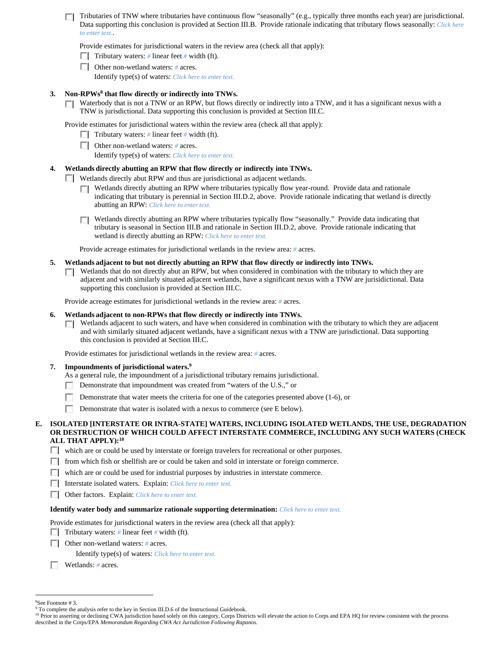Tributaries of TNW where tributaries have continuous flow "seasonally" (e.g., typically three months each year) are jurisdictional. Data supporting this conclusion is provided at Section III.B. Provide rationale indicating that tributary flows seasonally: *Click here to enter text.*.

Provide estimates for jurisdictional waters in the review area (check all that apply):

- $\Box$  Tributary waters: *#* linear feet *#* width (ft).
- Other non-wetland waters: *#* acres. Identify type(s) of waters: *Click here to enter text.*

## **3. Non-RPWs8 that flow directly or indirectly into TNWs.**

Waterbody that is not a TNW or an RPW, but flows directly or indirectly into a TNW, and it has a significant nexus with a П. TNW is jurisdictional. Data supporting this conclusion is provided at Section III.C.

Provide estimates for jurisdictional waters within the review area (check all that apply):

- Tributary waters: # linear feet # width (ft).
- Other non-wetland waters: *#* acres.

Identify type(s) of waters: *Click here to enter text.*

## **4. Wetlands directly abutting an RPW that flow directly or indirectly into TNWs.**

- Wetlands directly abut RPW and thus are jurisdictional as adjacent wetlands.
	- Wetlands directly abutting an RPW where tributaries typically flow year-round. Provide data and rationale П. indicating that tributary is perennial in Section III.D.2, above. Provide rationale indicating that wetland is directly abutting an RPW: *Click here to enter text.*
	- Wetlands directly abutting an RPW where tributaries typically flow "seasonally." Provide data indicating that tributary is seasonal in Section III.B and rationale in Section III.D.2, above. Provide rationale indicating that wetland is directly abutting an RPW: *Click here to enter text.*

Provide acreage estimates for jurisdictional wetlands in the review area: *#* acres.

## **5. Wetlands adjacent to but not directly abutting an RPW that flow directly or indirectly into TNWs.**

 $\Box$  Wetlands that do not directly abut an RPW, but when considered in combination with the tributary to which they are adjacent and with similarly situated adjacent wetlands, have a significant nexus with a TNW are jurisidictional. Data supporting this conclusion is provided at Section III.C.

Provide acreage estimates for jurisdictional wetlands in the review area: *#* acres.

## **6. Wetlands adjacent to non-RPWs that flow directly or indirectly into TNWs.**

 $\Box$  Wetlands adjacent to such waters, and have when considered in combination with the tributary to which they are adjacent and with similarly situated adjacent wetlands, have a significant nexus with a TNW are jurisdictional. Data supporting this conclusion is provided at Section III.C.

Provide estimates for jurisdictional wetlands in the review area: *#* acres.

#### **7. Impoundments of jurisdictional waters.9**

- As a general rule, the impoundment of a jurisdictional tributary remains jurisdictional.
- Demonstrate that impoundment was created from "waters of the U.S.," or П.
- п. Demonstrate that water meets the criteria for one of the categories presented above (1-6), or
- П. Demonstrate that water is isolated with a nexus to commerce (see E below).

## **E. ISOLATED [INTERSTATE OR INTRA-STATE] WATERS, INCLUDING ISOLATED WETLANDS, THE USE, DEGRADATION OR DESTRUCTION OF WHICH COULD AFFECT INTERSTATE COMMERCE, INCLUDING ANY SUCH WATERS (CHECK ALL THAT APPLY):10**

- $\Box$  which are or could be used by interstate or foreign travelers for recreational or other purposes.
- $\Box$  from which fish or shellfish are or could be taken and sold in interstate or foreign commerce.
- which are or could be used for industrial purposes by industries in interstate commerce.
- Interstate isolated waters.Explain: *Click here to enter text.*
- Other factors.Explain: *Click here to enter text.*

# **Identify water body and summarize rationale supporting determination:** *Click here to enter text.*

Provide estimates for jurisdictional waters in the review area (check all that apply):

- **Tributary waters:** # linear feet # width (ft).
- Other non-wetland waters: *#* acres.
	- Identify type(s) of waters: *Click here to enter text.*
- Wetlands: *#* acres.

 $\overline{a}$ 8 See Footnote # 3.

<sup>&</sup>lt;sup>9</sup> To complete the analysis refer to the key in Section III.D.6 of the Instructional Guidebook.

<sup>&</sup>lt;sup>10</sup> Prior to asserting or declining CWA jurisdiction based solely on this category, Corps Districts will elevate the action to Corps and EPA HQ for review consistent with the process described in the Corps/EPA *Memorandum Regarding CWA Act Jurisdiction Following Rapanos.*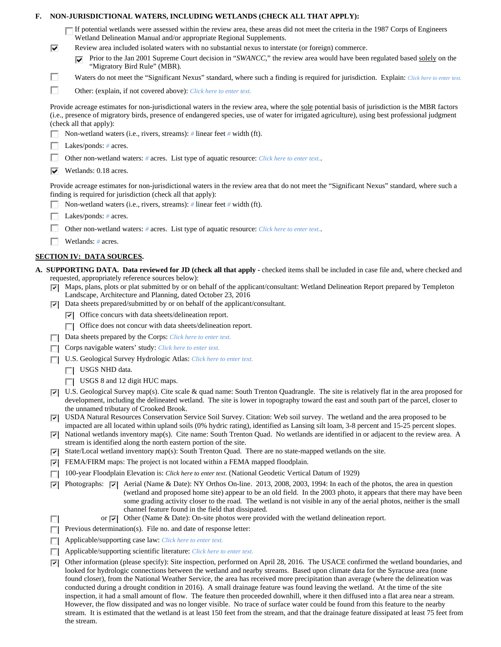| ⊽<br>п<br>п | If potential wetlands were assessed within the review area, these areas did not meet the criteria in the 1987 Corps of Engineers<br>Wetland Delineation Manual and/or appropriate Regional Supplements.<br>Review area included isolated waters with no substantial nexus to interstate (or foreign) commerce.<br>Prior to the Jan 2001 Supreme Court decision in "SWANCC," the review area would have been regulated based solely on the<br>⊽<br>"Migratory Bird Rule" (MBR).<br>Waters do not meet the "Significant Nexus" standard, where such a finding is required for jurisdiction. Explain: Click here to enter text.<br>Other: (explain, if not covered above): Click here to enter text.<br>Provide acreage estimates for non-jurisdictional waters in the review area, where the sole potential basis of jurisdiction is the MBR factors<br>(i.e., presence of migratory birds, presence of endangered species, use of water for irrigated agriculture), using best professional judgment |
|-------------|-----------------------------------------------------------------------------------------------------------------------------------------------------------------------------------------------------------------------------------------------------------------------------------------------------------------------------------------------------------------------------------------------------------------------------------------------------------------------------------------------------------------------------------------------------------------------------------------------------------------------------------------------------------------------------------------------------------------------------------------------------------------------------------------------------------------------------------------------------------------------------------------------------------------------------------------------------------------------------------------------------|
|             |                                                                                                                                                                                                                                                                                                                                                                                                                                                                                                                                                                                                                                                                                                                                                                                                                                                                                                                                                                                                     |
|             |                                                                                                                                                                                                                                                                                                                                                                                                                                                                                                                                                                                                                                                                                                                                                                                                                                                                                                                                                                                                     |
|             |                                                                                                                                                                                                                                                                                                                                                                                                                                                                                                                                                                                                                                                                                                                                                                                                                                                                                                                                                                                                     |
|             |                                                                                                                                                                                                                                                                                                                                                                                                                                                                                                                                                                                                                                                                                                                                                                                                                                                                                                                                                                                                     |
|             |                                                                                                                                                                                                                                                                                                                                                                                                                                                                                                                                                                                                                                                                                                                                                                                                                                                                                                                                                                                                     |
|             | (check all that apply):                                                                                                                                                                                                                                                                                                                                                                                                                                                                                                                                                                                                                                                                                                                                                                                                                                                                                                                                                                             |
|             | Non-wetland waters (i.e., rivers, streams): # linear feet # width (ft).                                                                                                                                                                                                                                                                                                                                                                                                                                                                                                                                                                                                                                                                                                                                                                                                                                                                                                                             |
|             | Lakes/ponds: $# \, \text{acres.}$                                                                                                                                                                                                                                                                                                                                                                                                                                                                                                                                                                                                                                                                                                                                                                                                                                                                                                                                                                   |
|             | Other non-wetland waters: # acres. List type of aquatic resource: Click here to enter text                                                                                                                                                                                                                                                                                                                                                                                                                                                                                                                                                                                                                                                                                                                                                                                                                                                                                                          |
| ⊽           | Wetlands: 0.18 acres.                                                                                                                                                                                                                                                                                                                                                                                                                                                                                                                                                                                                                                                                                                                                                                                                                                                                                                                                                                               |
|             |                                                                                                                                                                                                                                                                                                                                                                                                                                                                                                                                                                                                                                                                                                                                                                                                                                                                                                                                                                                                     |
|             | Provide acreage estimates for non-jurisdictional waters in the review area that do not meet the "Significant Nexus" standard, where such a<br>finding is required for jurisdiction (check all that apply):<br>Non-wetland waters (i.e., rivers, streams): $\#$ linear feet $\#$ width (ft).                                                                                                                                                                                                                                                                                                                                                                                                                                                                                                                                                                                                                                                                                                         |
|             | Lakes/ponds: $# \, \text{acres.}$                                                                                                                                                                                                                                                                                                                                                                                                                                                                                                                                                                                                                                                                                                                                                                                                                                                                                                                                                                   |
|             | Other non-wetland waters: # acres. List type of aquatic resource: Click here to enter text                                                                                                                                                                                                                                                                                                                                                                                                                                                                                                                                                                                                                                                                                                                                                                                                                                                                                                          |
|             | Wetlands: $#$ acres.                                                                                                                                                                                                                                                                                                                                                                                                                                                                                                                                                                                                                                                                                                                                                                                                                                                                                                                                                                                |
|             | <b>SECTION IV: DATA SOURCES.</b>                                                                                                                                                                                                                                                                                                                                                                                                                                                                                                                                                                                                                                                                                                                                                                                                                                                                                                                                                                    |
|             |                                                                                                                                                                                                                                                                                                                                                                                                                                                                                                                                                                                                                                                                                                                                                                                                                                                                                                                                                                                                     |
|             | A. SUPPORTING DATA. Data reviewed for JD (check all that apply - checked items shall be included in case file and, where checked and<br>requested, appropriately reference sources below):                                                                                                                                                                                                                                                                                                                                                                                                                                                                                                                                                                                                                                                                                                                                                                                                          |
| ☞<br>ल।     | Maps, plans, plots or plat submitted by or on behalf of the applicant/consultant: Wetland Delineation Report prepared by Templeton<br>Landscape, Architecture and Planning, dated October 23, 2016<br>Data sheets prepared/submitted by or on behalf of the applicant/consultant.                                                                                                                                                                                                                                                                                                                                                                                                                                                                                                                                                                                                                                                                                                                   |
|             | $\triangleright$ Office concurs with data sheets/delineation report.                                                                                                                                                                                                                                                                                                                                                                                                                                                                                                                                                                                                                                                                                                                                                                                                                                                                                                                                |
|             | Office does not concur with data sheets/delineation report.<br>П                                                                                                                                                                                                                                                                                                                                                                                                                                                                                                                                                                                                                                                                                                                                                                                                                                                                                                                                    |
|             | Data sheets prepared by the Corps: Click here to enter text.                                                                                                                                                                                                                                                                                                                                                                                                                                                                                                                                                                                                                                                                                                                                                                                                                                                                                                                                        |
|             | Corps navigable waters' study: Click here to enter text.                                                                                                                                                                                                                                                                                                                                                                                                                                                                                                                                                                                                                                                                                                                                                                                                                                                                                                                                            |
|             | U.S. Geological Survey Hydrologic Atlas: Click here to enter text.                                                                                                                                                                                                                                                                                                                                                                                                                                                                                                                                                                                                                                                                                                                                                                                                                                                                                                                                  |
|             | USGS NHD data.<br>П                                                                                                                                                                                                                                                                                                                                                                                                                                                                                                                                                                                                                                                                                                                                                                                                                                                                                                                                                                                 |
|             | USGS 8 and 12 digit HUC maps.                                                                                                                                                                                                                                                                                                                                                                                                                                                                                                                                                                                                                                                                                                                                                                                                                                                                                                                                                                       |
| 罓           | U.S. Geological Survey map(s). Cite scale & quad name: South Trenton Quadrangle. The site is relatively flat in the area proposed for<br>development, including the delineated wetland. The site is lower in topography toward the east and south part of the parcel, closer to<br>the unnamed tributary of Crooked Brook.                                                                                                                                                                                                                                                                                                                                                                                                                                                                                                                                                                                                                                                                          |
| 罓<br>罓      | USDA Natural Resources Conservation Service Soil Survey. Citation: Web soil survey. The wetland and the area proposed to be<br>impacted are all located within upland soils (0% hydric rating), identified as Lansing silt loam, 3-8 percent and 15-25 percent slopes.<br>National wetlands inventory map(s). Cite name: South Trenton Quad. No wetlands are identified in or adjacent to the review area. A                                                                                                                                                                                                                                                                                                                                                                                                                                                                                                                                                                                        |
|             | stream is identified along the north eastern portion of the site.                                                                                                                                                                                                                                                                                                                                                                                                                                                                                                                                                                                                                                                                                                                                                                                                                                                                                                                                   |
| 罓           | State/Local wetland inventory map(s): South Trenton Quad. There are no state-mapped wetlands on the site.                                                                                                                                                                                                                                                                                                                                                                                                                                                                                                                                                                                                                                                                                                                                                                                                                                                                                           |
| 罓           | FEMA/FIRM maps: The project is not located within a FEMA mapped floodplain.                                                                                                                                                                                                                                                                                                                                                                                                                                                                                                                                                                                                                                                                                                                                                                                                                                                                                                                         |
| г           | 100-year Floodplain Elevation is: Click here to enter text. (National Geodetic Vertical Datum of 1929)                                                                                                                                                                                                                                                                                                                                                                                                                                                                                                                                                                                                                                                                                                                                                                                                                                                                                              |
| ⊽           | Photographs: $\overline{\triangledown}$ Aerial (Name & Date): NY Orthos On-line. 2013, 2008, 2003, 1994: In each of the photos, the area in question<br>(wetland and proposed home site) appear to be an old field. In the 2003 photo, it appears that there may have been<br>some grading activity closer to the road. The wetland is not visible in any of the aerial photos, neither is the small<br>channel feature found in the field that dissipated.                                                                                                                                                                                                                                                                                                                                                                                                                                                                                                                                         |
| П           | Other (Name & Date): On-site photos were provided with the wetland delineation report.<br>or $ \nabla $                                                                                                                                                                                                                                                                                                                                                                                                                                                                                                                                                                                                                                                                                                                                                                                                                                                                                             |
|             | Previous determination(s). File no. and date of response letter:                                                                                                                                                                                                                                                                                                                                                                                                                                                                                                                                                                                                                                                                                                                                                                                                                                                                                                                                    |
| П           | Applicable/supporting case law: Click here to enter text.                                                                                                                                                                                                                                                                                                                                                                                                                                                                                                                                                                                                                                                                                                                                                                                                                                                                                                                                           |
| Е           | Applicable/supporting scientific literature: Click here to enter text.                                                                                                                                                                                                                                                                                                                                                                                                                                                                                                                                                                                                                                                                                                                                                                                                                                                                                                                              |
| ⊡           | Other information (please specify): Site inspection, performed on April 28, 2016. The USACE confirmed the wetland boundaries, and<br>looked for hydrologic connections between the wetland and nearby streams. Based upon climate data for the Syracuse area (none                                                                                                                                                                                                                                                                                                                                                                                                                                                                                                                                                                                                                                                                                                                                  |
|             | found closer), from the National Weather Service, the area has received more precipitation than average (where the delineation was<br>conducted during a drought condition in 2016). A small drainage feature was found leaving the wetland. At the time of the site<br>inspection, it had a small amount of flow. The feature then proceeded downhill, where it then diffused into a flat area near a stream.<br>However, the flow dissipated and was no longer visible. No trace of surface water could be found from this feature to the nearby<br>stream. It is estimated that the wetland is at least 150 feet from the stream, and that the drainage feature dissipated at least 75 feet from<br>the stream.                                                                                                                                                                                                                                                                                  |